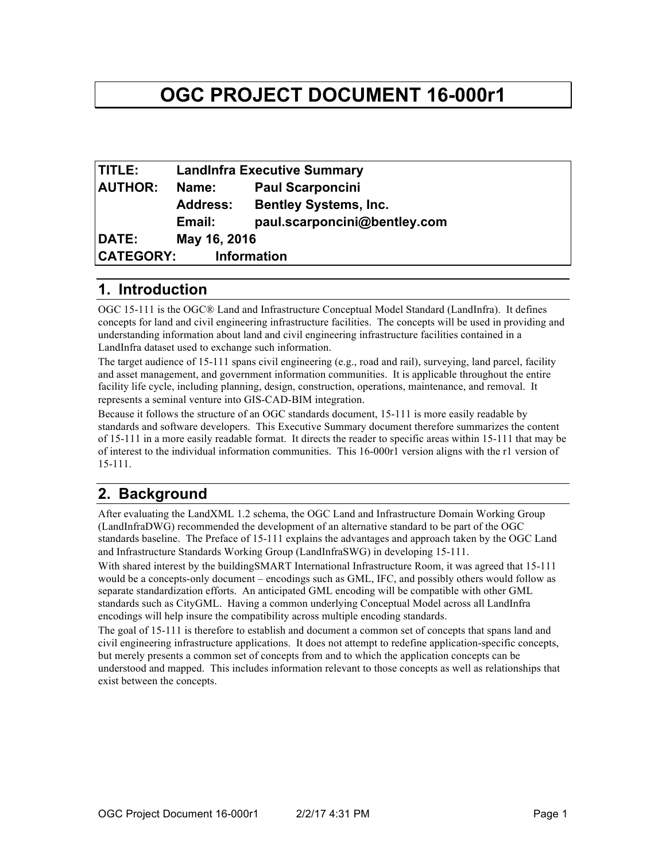# **OGC PROJECT DOCUMENT 16-000r1**

| <b>TITLE:</b>                          | <b>LandInfra Executive Summary</b> |                              |
|----------------------------------------|------------------------------------|------------------------------|
| <b>AUTHOR:</b>                         | Name:                              | <b>Paul Scarponcini</b>      |
|                                        | <b>Address:</b>                    | <b>Bentley Systems, Inc.</b> |
|                                        | Email:                             | paul.scarponcini@bentley.com |
| DATE:                                  | May 16, 2016                       |                              |
| <b>CATEGORY:</b><br><b>Information</b> |                                    |                              |

## **1. Introduction**

OGC 15-111 is the OGC® Land and Infrastructure Conceptual Model Standard (LandInfra). It defines concepts for land and civil engineering infrastructure facilities. The concepts will be used in providing and understanding information about land and civil engineering infrastructure facilities contained in a LandInfra dataset used to exchange such information.

The target audience of 15-111 spans civil engineering (e.g., road and rail), surveying, land parcel, facility and asset management, and government information communities. It is applicable throughout the entire facility life cycle, including planning, design, construction, operations, maintenance, and removal. It represents a seminal venture into GIS-CAD-BIM integration.

Because it follows the structure of an OGC standards document, 15-111 is more easily readable by standards and software developers. This Executive Summary document therefore summarizes the content of 15-111 in a more easily readable format. It directs the reader to specific areas within 15-111 that may be of interest to the individual information communities. This 16-000r1 version aligns with the r1 version of 15-111.

## **2. Background**

After evaluating the LandXML 1.2 schema, the OGC Land and Infrastructure Domain Working Group (LandInfraDWG) recommended the development of an alternative standard to be part of the OGC standards baseline. The Preface of 15-111 explains the advantages and approach taken by the OGC Land and Infrastructure Standards Working Group (LandInfraSWG) in developing 15-111.

With shared interest by the buildingSMART International Infrastructure Room, it was agreed that 15-111 would be a concepts-only document – encodings such as GML, IFC, and possibly others would follow as separate standardization efforts. An anticipated GML encoding will be compatible with other GML standards such as CityGML. Having a common underlying Conceptual Model across all LandInfra encodings will help insure the compatibility across multiple encoding standards.

The goal of 15-111 is therefore to establish and document a common set of concepts that spans land and civil engineering infrastructure applications. It does not attempt to redefine application-specific concepts, but merely presents a common set of concepts from and to which the application concepts can be understood and mapped. This includes information relevant to those concepts as well as relationships that exist between the concepts.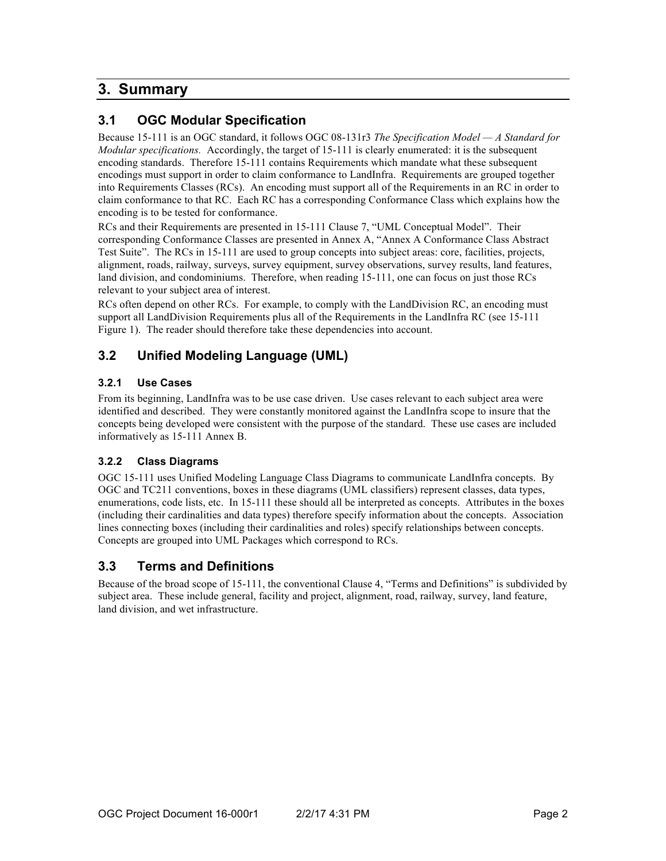## **3. Summary**

## **3.1 OGC Modular Specification**

Because 15-111 is an OGC standard, it follows OGC 08-131r3 *The Specification Model — A Standard for Modular specifications.* Accordingly, the target of 15-111 is clearly enumerated: it is the subsequent encoding standards. Therefore 15-111 contains Requirements which mandate what these subsequent encodings must support in order to claim conformance to LandInfra. Requirements are grouped together into Requirements Classes (RCs). An encoding must support all of the Requirements in an RC in order to claim conformance to that RC. Each RC has a corresponding Conformance Class which explains how the encoding is to be tested for conformance.

RCs and their Requirements are presented in 15-111 Clause 7, "UML Conceptual Model". Their corresponding Conformance Classes are presented in Annex A, "Annex A Conformance Class Abstract Test Suite". The RCs in 15-111 are used to group concepts into subject areas: core, facilities, projects, alignment, roads, railway, surveys, survey equipment, survey observations, survey results, land features, land division, and condominiums. Therefore, when reading 15-111, one can focus on just those RCs relevant to your subject area of interest.

RCs often depend on other RCs. For example, to comply with the LandDivision RC, an encoding must support all LandDivision Requirements plus all of the Requirements in the LandInfra RC (see 15-111 Figure 1). The reader should therefore take these dependencies into account.

## **3.2 Unified Modeling Language (UML)**

#### **3.2.1 Use Cases**

From its beginning, LandInfra was to be use case driven. Use cases relevant to each subject area were identified and described. They were constantly monitored against the LandInfra scope to insure that the concepts being developed were consistent with the purpose of the standard. These use cases are included informatively as 15-111 Annex B.

#### **3.2.2 Class Diagrams**

OGC 15-111 uses Unified Modeling Language Class Diagrams to communicate LandInfra concepts. By OGC and TC211 conventions, boxes in these diagrams (UML classifiers) represent classes, data types, enumerations, code lists, etc. In 15-111 these should all be interpreted as concepts. Attributes in the boxes (including their cardinalities and data types) therefore specify information about the concepts. Association lines connecting boxes (including their cardinalities and roles) specify relationships between concepts. Concepts are grouped into UML Packages which correspond to RCs.

### **3.3 Terms and Definitions**

Because of the broad scope of 15-111, the conventional Clause 4, "Terms and Definitions" is subdivided by subject area. These include general, facility and project, alignment, road, railway, survey, land feature, land division, and wet infrastructure.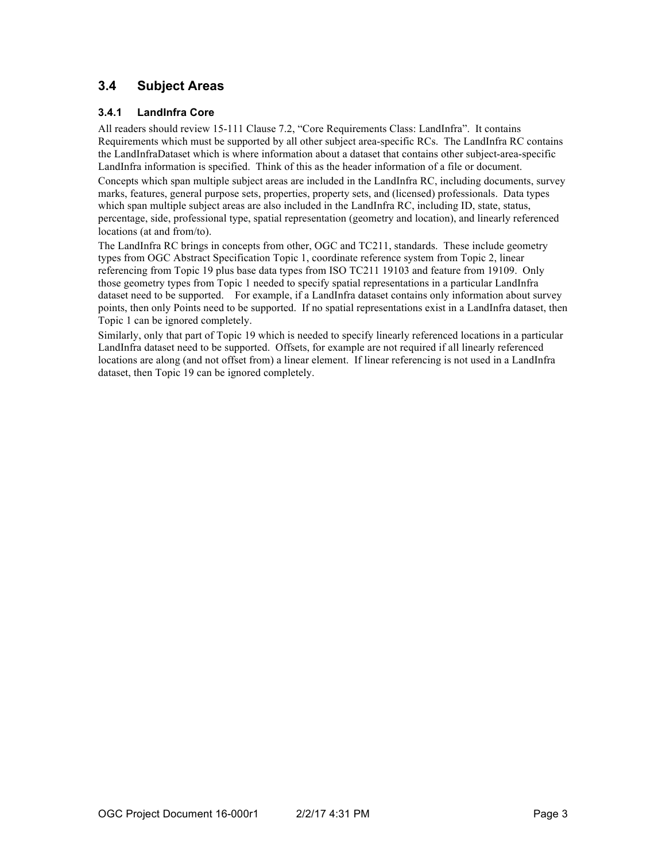## **3.4 Subject Areas**

#### **3.4.1 LandInfra Core**

All readers should review 15-111 Clause 7.2, "Core Requirements Class: LandInfra". It contains Requirements which must be supported by all other subject area-specific RCs. The LandInfra RC contains the LandInfraDataset which is where information about a dataset that contains other subject-area-specific LandInfra information is specified. Think of this as the header information of a file or document. Concepts which span multiple subject areas are included in the LandInfra RC, including documents, survey marks, features, general purpose sets, properties, property sets, and (licensed) professionals. Data types which span multiple subject areas are also included in the LandInfra RC, including ID, state, status, percentage, side, professional type, spatial representation (geometry and location), and linearly referenced locations (at and from/to).

The LandInfra RC brings in concepts from other, OGC and TC211, standards. These include geometry types from OGC Abstract Specification Topic 1, coordinate reference system from Topic 2, linear referencing from Topic 19 plus base data types from ISO TC211 19103 and feature from 19109. Only those geometry types from Topic 1 needed to specify spatial representations in a particular LandInfra dataset need to be supported. For example, if a LandInfra dataset contains only information about survey points, then only Points need to be supported. If no spatial representations exist in a LandInfra dataset, then Topic 1 can be ignored completely.

Similarly, only that part of Topic 19 which is needed to specify linearly referenced locations in a particular LandInfra dataset need to be supported. Offsets, for example are not required if all linearly referenced locations are along (and not offset from) a linear element. If linear referencing is not used in a LandInfra dataset, then Topic 19 can be ignored completely.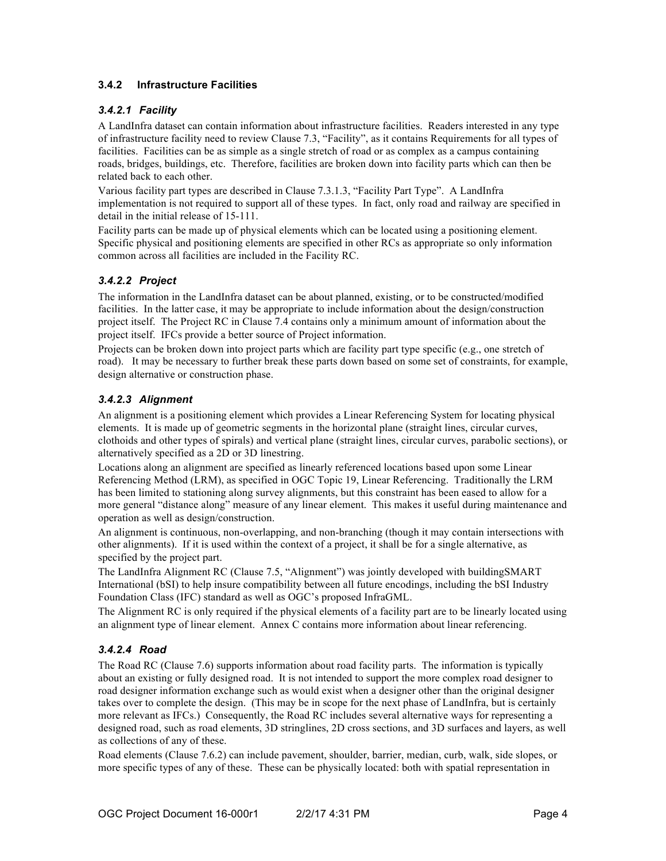#### **3.4.2 Infrastructure Facilities**

#### *3.4.2.1 Facility*

A LandInfra dataset can contain information about infrastructure facilities. Readers interested in any type of infrastructure facility need to review Clause 7.3, "Facility", as it contains Requirements for all types of facilities. Facilities can be as simple as a single stretch of road or as complex as a campus containing roads, bridges, buildings, etc. Therefore, facilities are broken down into facility parts which can then be related back to each other.

Various facility part types are described in Clause 7.3.1.3, "Facility Part Type". A LandInfra implementation is not required to support all of these types. In fact, only road and railway are specified in detail in the initial release of 15-111.

Facility parts can be made up of physical elements which can be located using a positioning element. Specific physical and positioning elements are specified in other RCs as appropriate so only information common across all facilities are included in the Facility RC.

#### *3.4.2.2 Project*

The information in the LandInfra dataset can be about planned, existing, or to be constructed/modified facilities. In the latter case, it may be appropriate to include information about the design/construction project itself. The Project RC in Clause 7.4 contains only a minimum amount of information about the project itself. IFCs provide a better source of Project information.

Projects can be broken down into project parts which are facility part type specific (e.g., one stretch of road). It may be necessary to further break these parts down based on some set of constraints, for example, design alternative or construction phase.

#### *3.4.2.3 Alignment*

An alignment is a positioning element which provides a Linear Referencing System for locating physical elements. It is made up of geometric segments in the horizontal plane (straight lines, circular curves, clothoids and other types of spirals) and vertical plane (straight lines, circular curves, parabolic sections), or alternatively specified as a 2D or 3D linestring.

Locations along an alignment are specified as linearly referenced locations based upon some Linear Referencing Method (LRM), as specified in OGC Topic 19, Linear Referencing. Traditionally the LRM has been limited to stationing along survey alignments, but this constraint has been eased to allow for a more general "distance along" measure of any linear element. This makes it useful during maintenance and operation as well as design/construction.

An alignment is continuous, non-overlapping, and non-branching (though it may contain intersections with other alignments). If it is used within the context of a project, it shall be for a single alternative, as specified by the project part.

The LandInfra Alignment RC (Clause 7.5, "Alignment") was jointly developed with buildingSMART International (bSI) to help insure compatibility between all future encodings, including the bSI Industry Foundation Class (IFC) standard as well as OGC's proposed InfraGML.

The Alignment RC is only required if the physical elements of a facility part are to be linearly located using an alignment type of linear element. Annex C contains more information about linear referencing.

#### *3.4.2.4 Road*

The Road RC (Clause 7.6) supports information about road facility parts. The information is typically about an existing or fully designed road. It is not intended to support the more complex road designer to road designer information exchange such as would exist when a designer other than the original designer takes over to complete the design. (This may be in scope for the next phase of LandInfra, but is certainly more relevant as IFCs.) Consequently, the Road RC includes several alternative ways for representing a designed road, such as road elements, 3D stringlines, 2D cross sections, and 3D surfaces and layers, as well as collections of any of these.

Road elements (Clause 7.6.2) can include pavement, shoulder, barrier, median, curb, walk, side slopes, or more specific types of any of these. These can be physically located: both with spatial representation in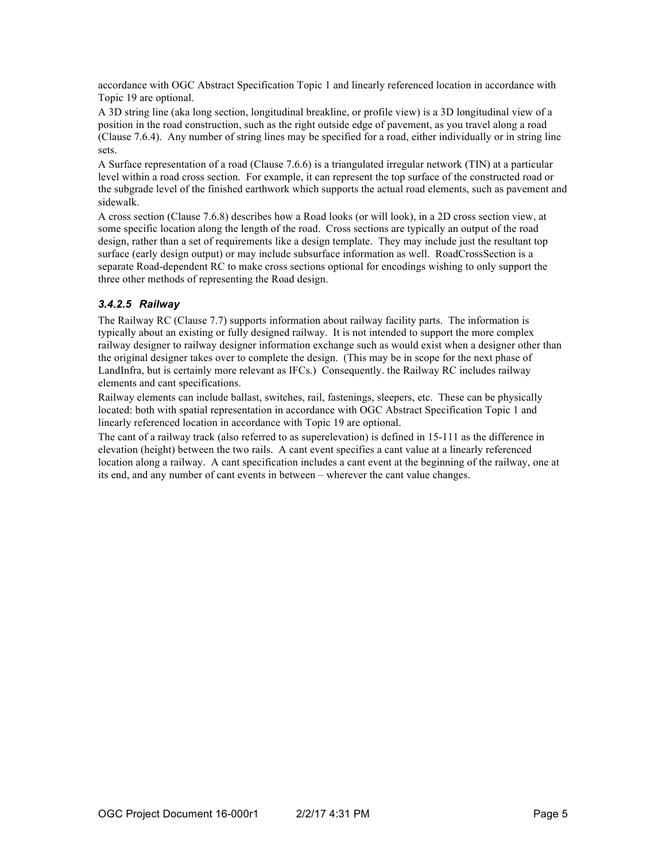accordance with OGC Abstract Specification Topic 1 and linearly referenced location in accordance with Topic 19 are optional.

A 3D string line (aka long section, longitudinal breakline, or profile view) is a 3D longitudinal view of a position in the road construction, such as the right outside edge of pavement, as you travel along a road (Clause 7.6.4). Any number of string lines may be specified for a road, either individually or in string line sets.

A Surface representation of a road (Clause 7.6.6) is a triangulated irregular network (TIN) at a particular level within a road cross section. For example, it can represent the top surface of the constructed road or the subgrade level of the finished earthwork which supports the actual road elements, such as pavement and sidewalk.

A cross section (Clause 7.6.8) describes how a Road looks (or will look), in a 2D cross section view, at some specific location along the length of the road. Cross sections are typically an output of the road design, rather than a set of requirements like a design template. They may include just the resultant top surface (early design output) or may include subsurface information as well. RoadCrossSection is a separate Road-dependent RC to make cross sections optional for encodings wishing to only support the three other methods of representing the Road design.

#### *3.4.2.5 Railway*

The Railway RC (Clause 7.7) supports information about railway facility parts. The information is typically about an existing or fully designed railway. It is not intended to support the more complex railway designer to railway designer information exchange such as would exist when a designer other than the original designer takes over to complete the design. (This may be in scope for the next phase of LandInfra, but is certainly more relevant as IFCs.) Consequently. the Railway RC includes railway elements and cant specifications.

Railway elements can include ballast, switches, rail, fastenings, sleepers, etc. These can be physically located: both with spatial representation in accordance with OGC Abstract Specification Topic 1 and linearly referenced location in accordance with Topic 19 are optional.

The cant of a railway track (also referred to as superelevation) is defined in 15-111 as the difference in elevation (height) between the two rails. A cant event specifies a cant value at a linearly referenced location along a railway. A cant specification includes a cant event at the beginning of the railway, one at its end, and any number of cant events in between – wherever the cant value changes.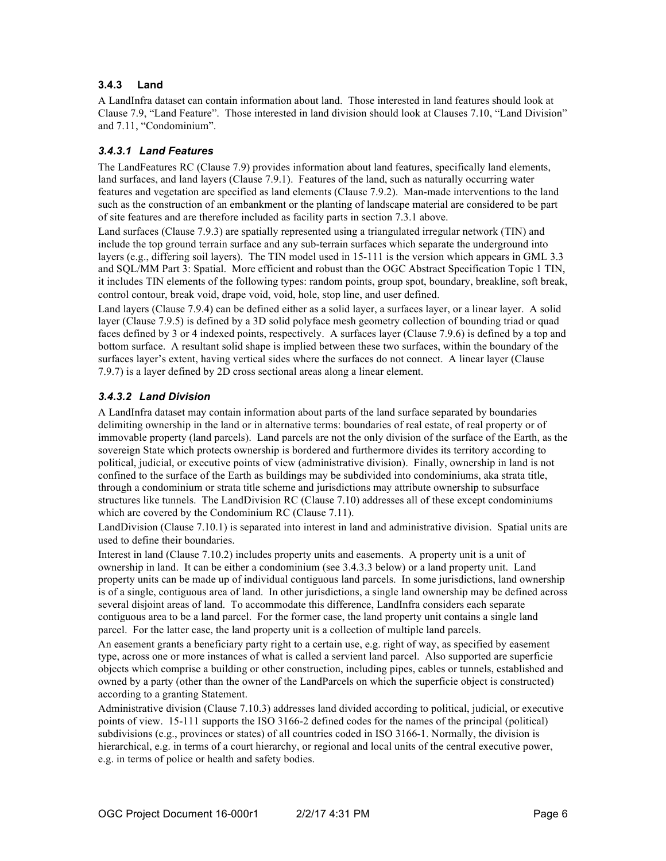#### **3.4.3 Land**

A LandInfra dataset can contain information about land. Those interested in land features should look at Clause 7.9, "Land Feature". Those interested in land division should look at Clauses 7.10, "Land Division" and 7.11, "Condominium".

#### *3.4.3.1 Land Features*

The LandFeatures RC (Clause 7.9) provides information about land features, specifically land elements, land surfaces, and land layers (Clause 7.9.1). Features of the land, such as naturally occurring water features and vegetation are specified as land elements (Clause 7.9.2). Man-made interventions to the land such as the construction of an embankment or the planting of landscape material are considered to be part of site features and are therefore included as facility parts in section 7.3.1 above.

Land surfaces (Clause 7.9.3) are spatially represented using a triangulated irregular network (TIN) and include the top ground terrain surface and any sub-terrain surfaces which separate the underground into layers (e.g., differing soil layers). The TIN model used in 15-111 is the version which appears in GML 3.3 and SQL/MM Part 3: Spatial. More efficient and robust than the OGC Abstract Specification Topic 1 TIN, it includes TIN elements of the following types: random points, group spot, boundary, breakline, soft break, control contour, break void, drape void, void, hole, stop line, and user defined.

Land layers (Clause 7.9.4) can be defined either as a solid layer, a surfaces layer, or a linear layer. A solid layer (Clause 7.9.5) is defined by a 3D solid polyface mesh geometry collection of bounding triad or quad faces defined by 3 or 4 indexed points, respectively. A surfaces layer (Clause 7.9.6) is defined by a top and bottom surface. A resultant solid shape is implied between these two surfaces, within the boundary of the surfaces layer's extent, having vertical sides where the surfaces do not connect. A linear layer (Clause 7.9.7) is a layer defined by 2D cross sectional areas along a linear element.

#### *3.4.3.2 Land Division*

A LandInfra dataset may contain information about parts of the land surface separated by boundaries delimiting ownership in the land or in alternative terms: boundaries of real estate, of real property or of immovable property (land parcels). Land parcels are not the only division of the surface of the Earth, as the sovereign State which protects ownership is bordered and furthermore divides its territory according to political, judicial, or executive points of view (administrative division). Finally, ownership in land is not confined to the surface of the Earth as buildings may be subdivided into condominiums, aka strata title, through a condominium or strata title scheme and jurisdictions may attribute ownership to subsurface structures like tunnels. The LandDivision RC (Clause 7.10) addresses all of these except condominiums which are covered by the Condominium RC (Clause 7.11).

LandDivision (Clause 7.10.1) is separated into interest in land and administrative division. Spatial units are used to define their boundaries.

Interest in land (Clause 7.10.2) includes property units and easements. A property unit is a unit of ownership in land. It can be either a condominium (see 3.4.3.3 below) or a land property unit. Land property units can be made up of individual contiguous land parcels. In some jurisdictions, land ownership is of a single, contiguous area of land. In other jurisdictions, a single land ownership may be defined across several disjoint areas of land. To accommodate this difference, LandInfra considers each separate contiguous area to be a land parcel. For the former case, the land property unit contains a single land parcel. For the latter case, the land property unit is a collection of multiple land parcels.

An easement grants a beneficiary party right to a certain use, e.g. right of way, as specified by easement type, across one or more instances of what is called a servient land parcel. Also supported are superficie objects which comprise a building or other construction, including pipes, cables or tunnels, established and owned by a party (other than the owner of the LandParcels on which the superficie object is constructed) according to a granting Statement.

Administrative division (Clause 7.10.3) addresses land divided according to political, judicial, or executive points of view. 15-111 supports the ISO 3166-2 defined codes for the names of the principal (political) subdivisions (e.g., provinces or states) of all countries coded in ISO 3166-1. Normally, the division is hierarchical, e.g. in terms of a court hierarchy, or regional and local units of the central executive power, e.g. in terms of police or health and safety bodies.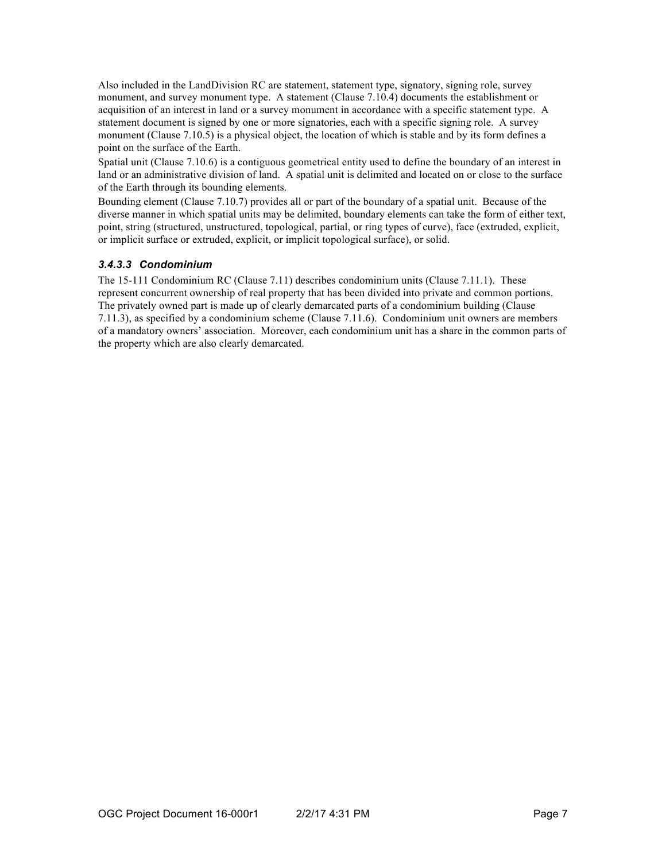Also included in the LandDivision RC are statement, statement type, signatory, signing role, survey monument, and survey monument type. A statement (Clause 7.10.4) documents the establishment or acquisition of an interest in land or a survey monument in accordance with a specific statement type. A statement document is signed by one or more signatories, each with a specific signing role. A survey monument (Clause 7.10.5) is a physical object, the location of which is stable and by its form defines a point on the surface of the Earth.

Spatial unit (Clause 7.10.6) is a contiguous geometrical entity used to define the boundary of an interest in land or an administrative division of land. A spatial unit is delimited and located on or close to the surface of the Earth through its bounding elements.

Bounding element (Clause 7.10.7) provides all or part of the boundary of a spatial unit. Because of the diverse manner in which spatial units may be delimited, boundary elements can take the form of either text, point, string (structured, unstructured, topological, partial, or ring types of curve), face (extruded, explicit, or implicit surface or extruded, explicit, or implicit topological surface), or solid.

#### *3.4.3.3 Condominium*

The 15-111 Condominium RC (Clause 7.11) describes condominium units (Clause 7.11.1). These represent concurrent ownership of real property that has been divided into private and common portions. The privately owned part is made up of clearly demarcated parts of a condominium building (Clause 7.11.3), as specified by a condominium scheme (Clause 7.11.6). Condominium unit owners are members of a mandatory owners' association. Moreover, each condominium unit has a share in the common parts of the property which are also clearly demarcated.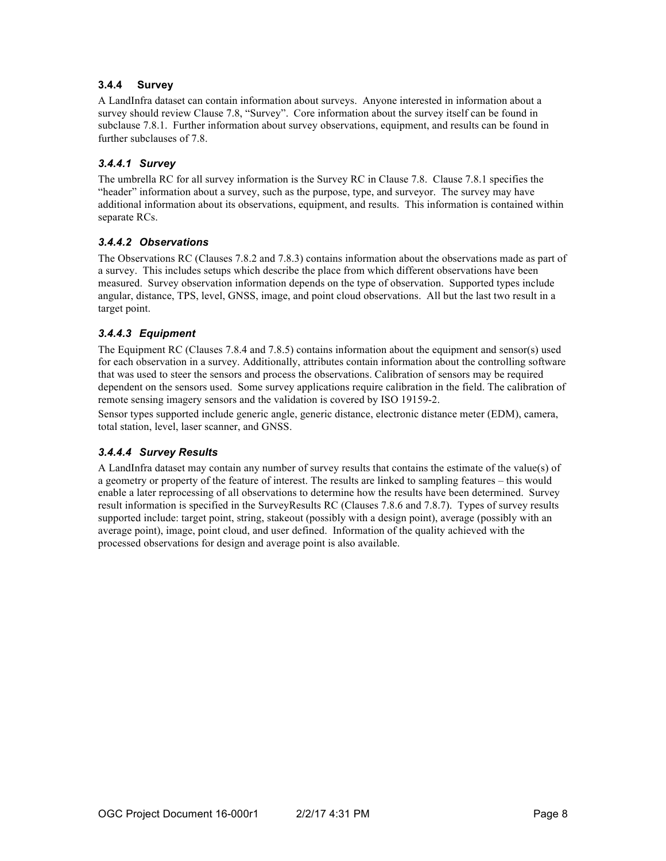#### **3.4.4 Survey**

A LandInfra dataset can contain information about surveys. Anyone interested in information about a survey should review Clause 7.8, "Survey". Core information about the survey itself can be found in subclause 7.8.1. Further information about survey observations, equipment, and results can be found in further subclauses of 7.8.

#### *3.4.4.1 Survey*

The umbrella RC for all survey information is the Survey RC in Clause 7.8. Clause 7.8.1 specifies the "header" information about a survey, such as the purpose, type, and surveyor. The survey may have additional information about its observations, equipment, and results. This information is contained within separate RCs.

#### *3.4.4.2 Observations*

The Observations RC (Clauses 7.8.2 and 7.8.3) contains information about the observations made as part of a survey. This includes setups which describe the place from which different observations have been measured. Survey observation information depends on the type of observation. Supported types include angular, distance, TPS, level, GNSS, image, and point cloud observations. All but the last two result in a target point.

#### *3.4.4.3 Equipment*

The Equipment RC (Clauses 7.8.4 and 7.8.5) contains information about the equipment and sensor(s) used for each observation in a survey. Additionally, attributes contain information about the controlling software that was used to steer the sensors and process the observations. Calibration of sensors may be required dependent on the sensors used. Some survey applications require calibration in the field. The calibration of remote sensing imagery sensors and the validation is covered by ISO 19159-2.

Sensor types supported include generic angle, generic distance, electronic distance meter (EDM), camera, total station, level, laser scanner, and GNSS.

#### *3.4.4.4 Survey Results*

A LandInfra dataset may contain any number of survey results that contains the estimate of the value(s) of a geometry or property of the feature of interest. The results are linked to sampling features – this would enable a later reprocessing of all observations to determine how the results have been determined. Survey result information is specified in the SurveyResults RC (Clauses 7.8.6 and 7.8.7). Types of survey results supported include: target point, string, stakeout (possibly with a design point), average (possibly with an average point), image, point cloud, and user defined. Information of the quality achieved with the processed observations for design and average point is also available.